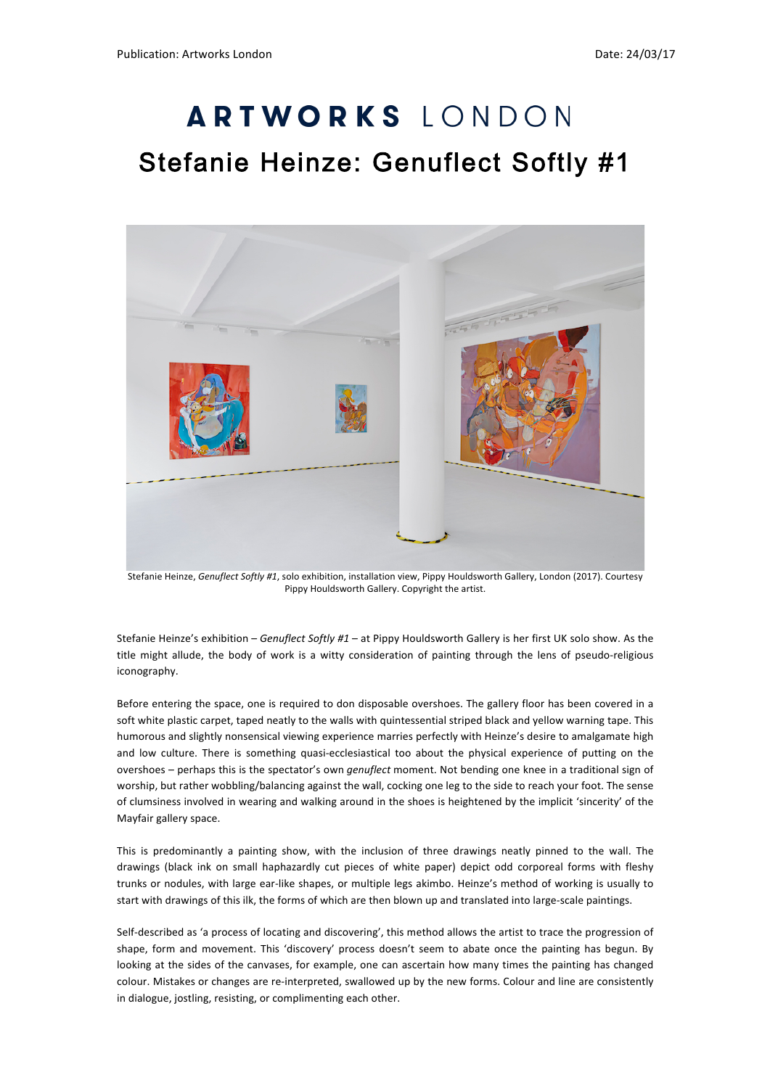## ARTWORKS LONDON Stefanie Heinze: Genuflect Softly #1



Stefanie Heinze, *Genuflect Softly #1*, solo exhibition, installation view, Pippy Houldsworth Gallery, London (2017). Courtesy Pippy Houldsworth Gallery. Copyright the artist.

Stefanie Heinze's exhibition – *Genuflect Softly #1* – at Pippy Houldsworth Gallery is her first UK solo show. As the title might allude, the body of work is a witty consideration of painting through the lens of pseudo-religious iconography.

Before entering the space, one is required to don disposable overshoes. The gallery floor has been covered in a soft white plastic carpet, taped neatly to the walls with quintessential striped black and yellow warning tape. This humorous and slightly nonsensical viewing experience marries perfectly with Heinze's desire to amalgamate high and low culture. There is something quasi-ecclesiastical too about the physical experience of putting on the overshoes - perhaps this is the spectator's own *genuflect* moment. Not bending one knee in a traditional sign of worship, but rather wobbling/balancing against the wall, cocking one leg to the side to reach your foot. The sense of clumsiness involved in wearing and walking around in the shoes is heightened by the implicit 'sincerity' of the Mayfair gallery space.

This is predominantly a painting show, with the inclusion of three drawings neatly pinned to the wall. The drawings (black ink on small haphazardly cut pieces of white paper) depict odd corporeal forms with fleshy trunks or nodules, with large ear-like shapes, or multiple legs akimbo. Heinze's method of working is usually to start with drawings of this ilk, the forms of which are then blown up and translated into large-scale paintings.

Self-described as 'a process of locating and discovering', this method allows the artist to trace the progression of shape, form and movement. This 'discovery' process doesn't seem to abate once the painting has begun. By looking at the sides of the canvases, for example, one can ascertain how many times the painting has changed colour. Mistakes or changes are re-interpreted, swallowed up by the new forms. Colour and line are consistently in dialogue, jostling, resisting, or complimenting each other.